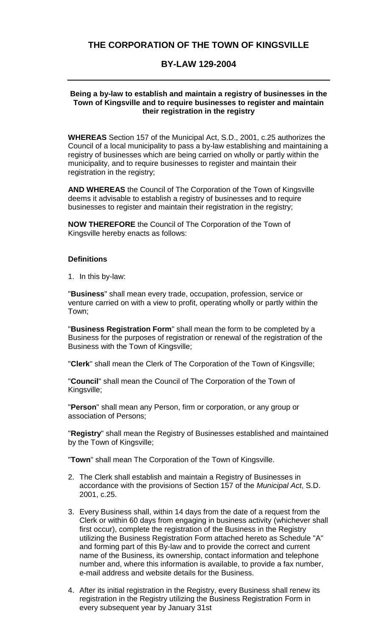## **THE CORPORATION OF THE TOWN OF KINGSVILLE**

## **BY-LAW 129-2004**

## **Being a by-law to establish and maintain a registry of businesses in the Town of Kingsville and to require businesses to register and maintain their registration in the registry**

**WHEREAS** Section 157 of the Municipal Act, S.D., 2001, c.25 authorizes the Council of a local municipality to pass a by-law establishing and maintaining a registry of businesses which are being carried on wholly or partly within the municipality, and to require businesses to register and maintain their registration in the registry;

**AND WHEREAS** the Council of The Corporation of the Town of Kingsville deems it advisable to establish a registry of businesses and to require businesses to register and maintain their registration in the registry;

**NOW THEREFORE** the Council of The Corporation of the Town of Kingsville hereby enacts as follows:

## **Definitions**

1. In this by-law:

"**Business**" shall mean every trade, occupation, profession, service or venture carried on with a view to profit, operating wholly or partly within the Town;

"**Business Registration Form**" shall mean the form to be completed by a Business for the purposes of registration or renewal of the registration of the Business with the Town of Kingsville;

"**Clerk**" shall mean the Clerk of The Corporation of the Town of Kingsville;

"**Council**" shall mean the Council of The Corporation of the Town of Kingsville;

"**Person**" shall mean any Person, firm or corporation, or any group or association of Persons;

"**Registry**" shall mean the Registry of Businesses established and maintained by the Town of Kingsville;

"**Town**" shall mean The Corporation of the Town of Kingsville.

- 2. The Clerk shall establish and maintain a Registry of Businesses in accordance with the provisions of Section 157 of the *Municipal Act*, S.D. 2001, c.25.
- 3. Every Business shall, within 14 days from the date of a request from the Clerk or within 60 days from engaging in business activity (whichever shall first occur), complete the registration of the Business in the Registry utilizing the Business Registration Form attached hereto as Schedule "A" and forming part of this By-law and to provide the correct and current name of the Business, its ownership, contact information and telephone number and, where this information is available, to provide a fax number, e-mail address and website details for the Business.
- 4. After its initial registration in the Registry, every Business shall renew its registration in the Registry utilizing the Business Registration Form in every subsequent year by January 31st